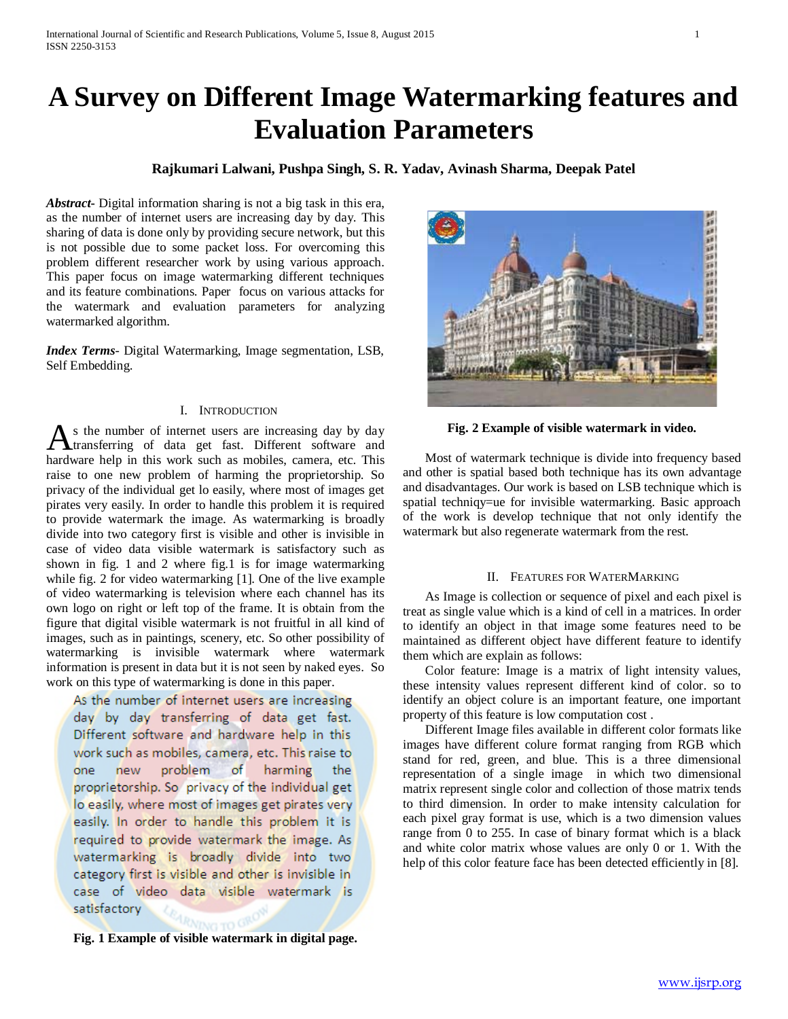# **A Survey on Different Image Watermarking features and Evaluation Parameters**

# **Rajkumari Lalwani, Pushpa Singh, S. R. Yadav, Avinash Sharma, Deepak Patel**

*Abstract***-** Digital information sharing is not a big task in this era, as the number of internet users are increasing day by day. This sharing of data is done only by providing secure network, but this is not possible due to some packet loss. For overcoming this problem different researcher work by using various approach. This paper focus on image watermarking different techniques and its feature combinations. Paper focus on various attacks for the watermark and evaluation parameters for analyzing watermarked algorithm.

*Index Terms*- Digital Watermarking, Image segmentation, LSB, Self Embedding.

# I. INTRODUCTION

s the number of internet users are increasing day by day transferring of data get fast. Different software and As the number of internet users are increasing day by day transferring of data get fast. Different software and hardware help in this work such as mobiles, camera, etc. This raise to one new problem of harming the proprietorship. So privacy of the individual get lo easily, where most of images get pirates very easily. In order to handle this problem it is required to provide watermark the image. As watermarking is broadly divide into two category first is visible and other is invisible in case of video data visible watermark is satisfactory such as shown in fig. 1 and 2 where fig.1 is for image watermarking while fig. 2 for video watermarking [1]. One of the live example of video watermarking is television where each channel has its own logo on right or left top of the frame. It is obtain from the figure that digital visible watermark is not fruitful in all kind of images, such as in paintings, scenery, etc. So other possibility of watermarking is invisible watermark where watermark information is present in data but it is not seen by naked eyes. So work on this type of watermarking is done in this paper.

As the number of internet users are increasing day by day transferring of data get fast. Different software and hardware help in this work such as mobiles, camera, etc. This raise to problem of harming one new the proprietorship. So privacy of the individual get lo easily, where most of images get pirates very easily. In order to handle this problem it is required to provide watermark the image. As watermarking is broadly divide into two category first is visible and other is invisible in case of video data visible watermark is satisfactory

**Fig. 1 Example of visible watermark in digital page.**

**Fig. 2 Example of visible watermark in video.**

 Most of watermark technique is divide into frequency based and other is spatial based both technique has its own advantage and disadvantages. Our work is based on LSB technique which is spatial techniqy=ue for invisible watermarking. Basic approach of the work is develop technique that not only identify the watermark but also regenerate watermark from the rest.

#### II. FEATURES FOR WATERMARKING

 As Image is collection or sequence of pixel and each pixel is treat as single value which is a kind of cell in a matrices. In order to identify an object in that image some features need to be maintained as different object have different feature to identify them which are explain as follows:

 Color feature: Image is a matrix of light intensity values, these intensity values represent different kind of color. so to identify an object colure is an important feature, one important property of this feature is low computation cost .

 Different Image files available in different color formats like images have different colure format ranging from RGB which stand for red, green, and blue. This is a three dimensional representation of a single image in which two dimensional matrix represent single color and collection of those matrix tends to third dimension. In order to make intensity calculation for each pixel gray format is use, which is a two dimension values range from 0 to 255. In case of binary format which is a black and white color matrix whose values are only 0 or 1. With the help of this color feature face has been detected efficiently in [8].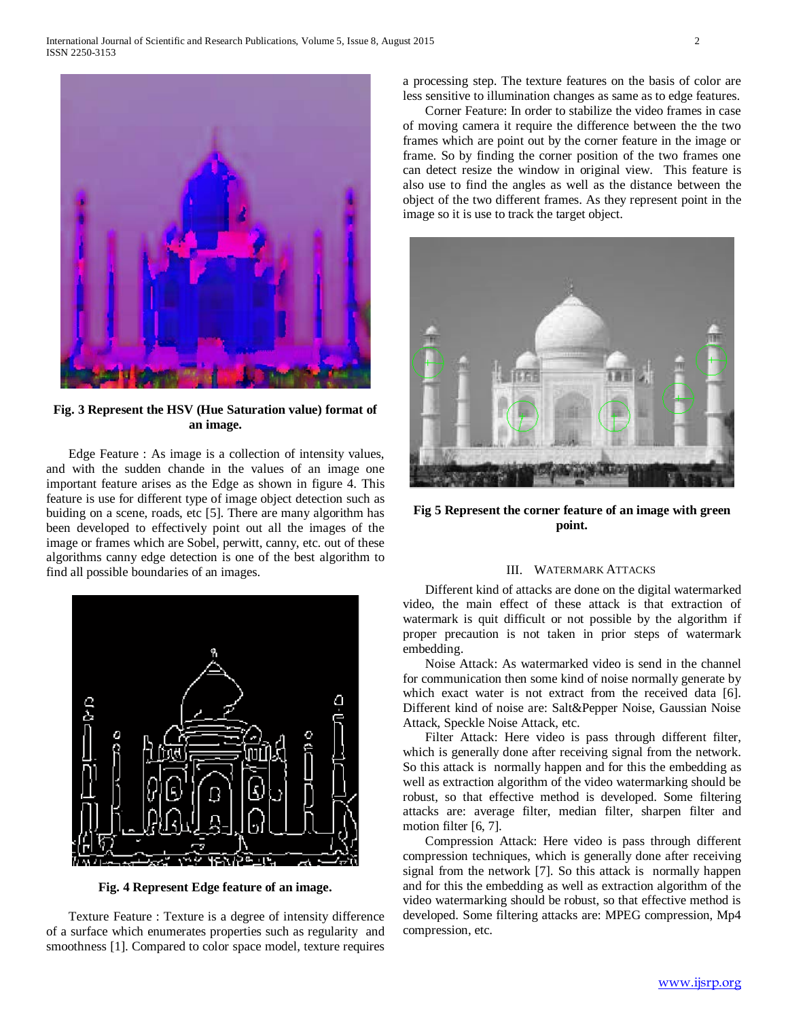

**Fig. 3 Represent the HSV (Hue Saturation value) format of an image.**

 Edge Feature : As image is a collection of intensity values, and with the sudden chande in the values of an image one important feature arises as the Edge as shown in figure 4. This feature is use for different type of image object detection such as buiding on a scene, roads, etc [5]. There are many algorithm has been developed to effectively point out all the images of the image or frames which are Sobel, perwitt, canny, etc. out of these algorithms canny edge detection is one of the best algorithm to find all possible boundaries of an images.



**Fig. 4 Represent Edge feature of an image.**

 Texture Feature : Texture is a degree of intensity difference of a surface which enumerates properties such as regularity and smoothness [1]. Compared to color space model, texture requires a processing step. The texture features on the basis of color are less sensitive to illumination changes as same as to edge features.

 Corner Feature: In order to stabilize the video frames in case of moving camera it require the difference between the the two frames which are point out by the corner feature in the image or frame. So by finding the corner position of the two frames one can detect resize the window in original view. This feature is also use to find the angles as well as the distance between the object of the two different frames. As they represent point in the image so it is use to track the target object.



**Fig 5 Represent the corner feature of an image with green point.**

## III. WATERMARK ATTACKS

 Different kind of attacks are done on the digital watermarked video, the main effect of these attack is that extraction of watermark is quit difficult or not possible by the algorithm if proper precaution is not taken in prior steps of watermark embedding.

 Noise Attack: As watermarked video is send in the channel for communication then some kind of noise normally generate by which exact water is not extract from the received data [6]. Different kind of noise are: Salt&Pepper Noise, Gaussian Noise Attack, Speckle Noise Attack, etc.

 Filter Attack: Here video is pass through different filter, which is generally done after receiving signal from the network. So this attack is normally happen and for this the embedding as well as extraction algorithm of the video watermarking should be robust, so that effective method is developed. Some filtering attacks are: average filter, median filter, sharpen filter and motion filter [6, 7].

 Compression Attack: Here video is pass through different compression techniques, which is generally done after receiving signal from the network [7]. So this attack is normally happen and for this the embedding as well as extraction algorithm of the video watermarking should be robust, so that effective method is developed. Some filtering attacks are: MPEG compression, Mp4 compression, etc.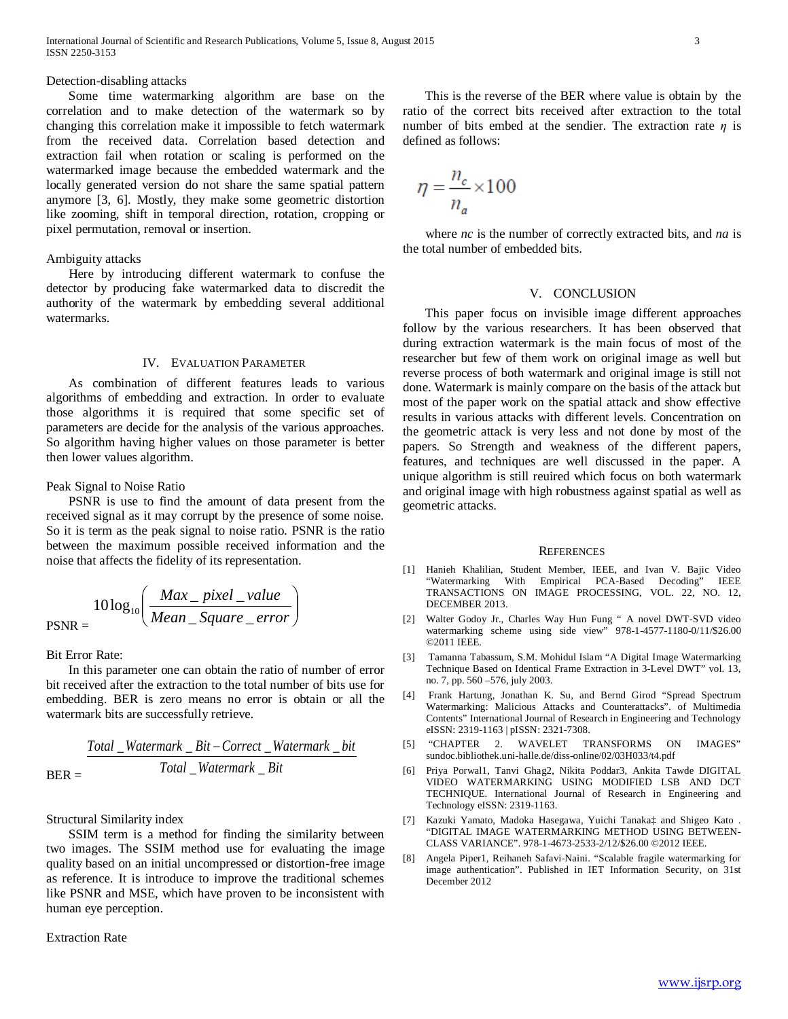#### Detection-disabling attacks

 Some time watermarking algorithm are base on the correlation and to make detection of the watermark so by changing this correlation make it impossible to fetch watermark from the received data. Correlation based detection and extraction fail when rotation or scaling is performed on the watermarked image because the embedded watermark and the locally generated version do not share the same spatial pattern anymore [3, 6]. Mostly, they make some geometric distortion like zooming, shift in temporal direction, rotation, cropping or pixel permutation, removal or insertion.

## Ambiguity attacks

 Here by introducing different watermark to confuse the detector by producing fake watermarked data to discredit the authority of the watermark by embedding several additional watermarks.

#### IV. EVALUATION PARAMETER

 As combination of different features leads to various algorithms of embedding and extraction. In order to evaluate those algorithms it is required that some specific set of parameters are decide for the analysis of the various approaches. So algorithm having higher values on those parameter is better then lower values algorithm.

## Peak Signal to Noise Ratio

 PSNR is use to find the amount of data present from the received signal as it may corrupt by the presence of some noise. So it is term as the peak signal to noise ratio. PSNR is the ratio between the maximum possible received information and the noise that affects the fidelity of its representation.

$$
PSNR = \frac{10 \log_{10} \left( \frac{Max\_pixel\_value}{Mean\_Square\_error} \right)}{Mean\_Square\_error}
$$

Bit Error Rate:

 In this parameter one can obtain the ratio of number of error bit received after the extraction to the total number of bits use for embedding. BER is zero means no error is obtain or all the watermark bits are successfully retrieve.

BER = *Total Watermark Bit Total Watermark Bit Correct Watermark bit* \_ \_ \_ \_ − \_ \_

Structural Similarity index

 SSIM term is a method for finding the similarity between two images. The SSIM method use for evaluating the image quality based on an initial uncompressed or distortion-free image as reference. It is introduce to improve the traditional schemes like PSNR and MSE, which have proven to be inconsistent with human eye perception.

### Extraction Rate

 This is the reverse of the BER where value is obtain by the ratio of the correct bits received after extraction to the total number of bits embed at the sendier. The extraction rate *η* is defined as follows:

$$
\eta = \frac{n_c}{n_a} \times 100
$$

 where *nc* is the number of correctly extracted bits, and *na* is the total number of embedded bits.

#### V. CONCLUSION

 This paper focus on invisible image different approaches follow by the various researchers. It has been observed that during extraction watermark is the main focus of most of the researcher but few of them work on original image as well but reverse process of both watermark and original image is still not done. Watermark is mainly compare on the basis of the attack but most of the paper work on the spatial attack and show effective results in various attacks with different levels. Concentration on the geometric attack is very less and not done by most of the papers. So Strength and weakness of the different papers, features, and techniques are well discussed in the paper. A unique algorithm is still reuired which focus on both watermark and original image with high robustness against spatial as well as geometric attacks.

#### **REFERENCES**

- [1] Hanieh Khalilian, Student Member, IEEE, and Ivan V. Bajic Video "Watermarking With Empirical PCA-Based Decoding" IEEE TRANSACTIONS ON IMAGE PROCESSING, VOL. 22, NO. 12, DECEMBER 2013.
- [2] Walter Godoy Jr., Charles Way Hun Fung " A novel DWT-SVD video watermarking scheme using side view" 978-1-4577-1180-0/11/\$26.00 ©2011 IEEE.
- [3] Tamanna Tabassum, S.M. Mohidul Islam "A Digital Image Watermarking Technique Based on Identical Frame Extraction in 3-Level DWT" vol. 13, no. 7, pp. 560 –576, july 2003.
- [4] Frank Hartung, Jonathan K. Su, and Bernd Girod "Spread Spectrum Watermarking: Malicious Attacks and Counterattacks". of Multimedia Contents" International Journal of Research in Engineering and Technology eISSN: 2319-1163 | pISSN: 2321-7308.
- [5] "CHAPTER 2. WAVELET TRANSFORMS ON IMAGES" sundoc.bibliothek.uni-halle.de/diss-online/02/03H033/t4.pdf
- [6] Priya Porwal1, Tanvi Ghag2, Nikita Poddar3, Ankita Tawde DIGITAL VIDEO WATERMARKING USING MODIFIED LSB AND DCT TECHNIQUE. International Journal of Research in Engineering and Technology eISSN: 2319-1163.
- [7] Kazuki Yamato, Madoka Hasegawa, Yuichi Tanaka‡ and Shigeo Kato . "DIGITAL IMAGE WATERMARKING METHOD USING BETWEEN-CLASS VARIANCE". 978-1-4673-2533-2/12/\$26.00 ©2012 IEEE.
- [8] Angela Piper1, Reihaneh Safavi-Naini. "Scalable fragile watermarking for image authentication". Published in IET Information Security, on 31st December 2012